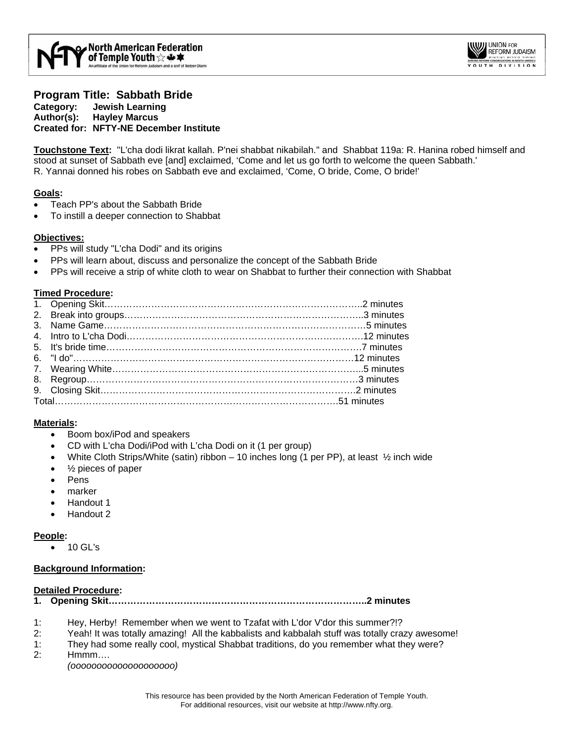

### **Program Title: Sabbath Bride Category: Jewish Learning Author(s): Hayley Marcus Created for: NFTY-NE December Institute**

**Touchstone Text:** "L'cha dodi likrat kallah. P'nei shabbat nikabilah." and Shabbat 119a: R. Hanina robed himself and stood at sunset of Sabbath eve [and] exclaimed, 'Come and let us go forth to welcome the queen Sabbath.' R. Yannai donned his robes on Sabbath eve and exclaimed, 'Come, O bride, Come, O bride!'

### **Goals:**

- Teach PP's about the Sabbath Bride
- To instill a deeper connection to Shabbat

## **Objectives:**

- PPs will study "L'cha Dodi" and its origins
- PPs will learn about, discuss and personalize the concept of the Sabbath Bride
- PPs will receive a strip of white cloth to wear on Shabbat to further their connection with Shabbat

## **Timed Procedure:**

# **Materials:**

- Boom box/iPod and speakers
- CD with L'cha Dodi/iPod with L'cha Dodi on it (1 per group)
- White Cloth Strips/White (satin) ribbon 10 inches long (1 per PP), at least  $\frac{1}{2}$  inch wide
- $\frac{1}{2}$  pieces of paper
- **Pens**
- marker
- Handout 1
- Handout 2

### **People:**

• 10 GL's

### **Background Information:**

### **Detailed Procedure:**

- **1. Opening Skit………………………………………………………………………..2 minutes**
- 1: Hey, Herby! Remember when we went to Tzafat with L'dor V'dor this summer?!?
- 2: Yeah! It was totally amazing! All the kabbalists and kabbalah stuff was totally crazy awesome!
- 1: They had some really cool, mystical Shabbat traditions, do you remember what they were?
- 2: Hmmm….

*(oooooooooooooooooooo)*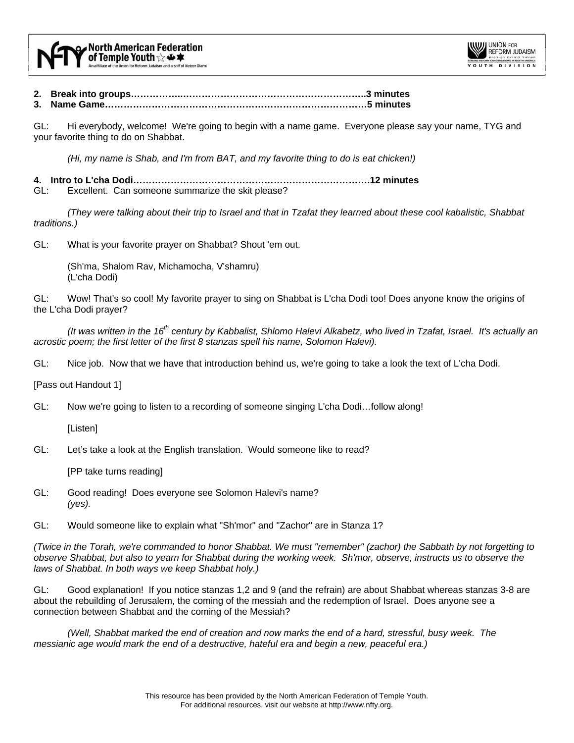

- **2. Break into groups……………..…………………………………………………..3 minutes**
- **3. Name Game…………………………………………………………………………5 minutes**

GL: Hi everybody, welcome! We're going to begin with a name game. Everyone please say your name, TYG and your favorite thing to do on Shabbat.

*(Hi, my name is Shab, and I'm from BAT, and my favorite thing to do is eat chicken!)* 

**4. Intro to L'cha Dodi………………………………………………………………….12 minutes** 

Excellent. Can someone summarize the skit please?

*(They were talking about their trip to Israel and that in Tzafat they learned about these cool kabalistic, Shabbat traditions.)* 

GL: What is your favorite prayer on Shabbat? Shout 'em out.

 (Sh'ma, Shalom Rav, Michamocha, V'shamru) (L'cha Dodi)

GL: Wow! That's so cool! My favorite prayer to sing on Shabbat is L'cha Dodi too! Does anyone know the origins of the L'cha Dodi prayer?

*(It was written in the 16th century by Kabbalist, Shlomo Halevi Alkabetz, who lived in Tzafat, Israel. It's actually an acrostic poem; the first letter of the first 8 stanzas spell his name, Solomon Halevi).* 

GL: Nice job. Now that we have that introduction behind us, we're going to take a look the text of L'cha Dodi.

[Pass out Handout 1]

GL: Now we're going to listen to a recording of someone singing L'cha Dodi…follow along!

[Listen]

GL: Let's take a look at the English translation. Would someone like to read?

[PP take turns reading]

- GL: Good reading! Does everyone see Solomon Halevi's name? *(yes).*
- GL: Would someone like to explain what "Sh'mor" and "Zachor" are in Stanza 1?

*(Twice in the Torah, we're commanded to honor Shabbat. We must "remember" (zachor) the Sabbath by not forgetting to observe Shabbat, but also to yearn for Shabbat during the working week. Sh'mor, observe, instructs us to observe the laws of Shabbat. In both ways we keep Shabbat holy.)* 

GL: Good explanation! If you notice stanzas 1,2 and 9 (and the refrain) are about Shabbat whereas stanzas 3-8 are about the rebuilding of Jerusalem, the coming of the messiah and the redemption of Israel. Does anyone see a connection between Shabbat and the coming of the Messiah?

*(Well, Shabbat marked the end of creation and now marks the end of a hard, stressful, busy week. The messianic age would mark the end of a destructive, hateful era and begin a new, peaceful era.)*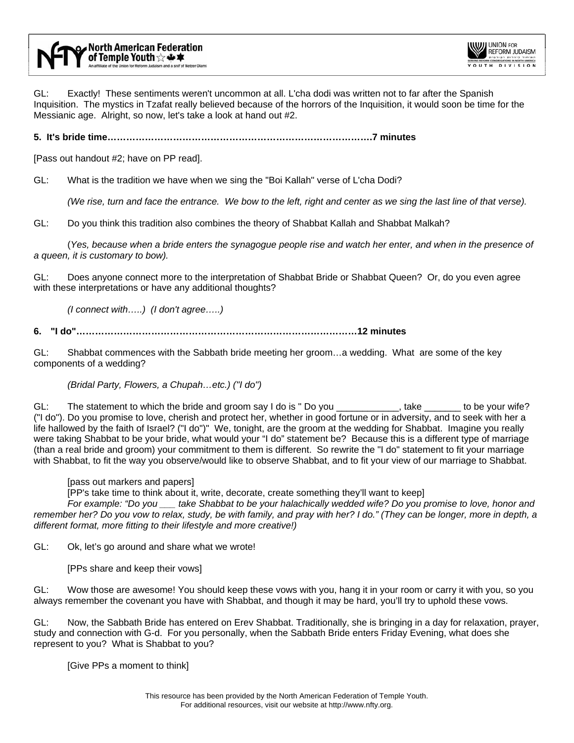

GL: Exactly! These sentiments weren't uncommon at all. L'cha dodi was written not to far after the Spanish Inquisition. The mystics in Tzafat really believed because of the horrors of the Inquisition, it would soon be time for the Messianic age. Alright, so now, let's take a look at hand out #2.

**5. It's bride time………………………………………………………………………….7 minutes** 

[Pass out handout #2; have on PP read].

GL: What is the tradition we have when we sing the "Boi Kallah" verse of L'cha Dodi?

*(We rise, turn and face the entrance. We bow to the left, right and center as we sing the last line of that verse).* 

GL: Do you think this tradition also combines the theory of Shabbat Kallah and Shabbat Malkah?

 (*Yes, because when a bride enters the synagogue people rise and watch her enter, and when in the presence of a queen, it is customary to bow).* 

GL: Does anyone connect more to the interpretation of Shabbat Bride or Shabbat Queen? Or, do you even agree with these interpretations or have any additional thoughts?

*(I connect with…..) (I don't agree…..)* 

**6. "I do"………………………………………………………………………………12 minutes** 

GL: Shabbat commences with the Sabbath bride meeting her groom…a wedding. What are some of the key components of a wedding?

*(Bridal Party, Flowers, a Chupah…etc.) ("I do")*

GL: The statement to which the bride and groom say I do is " Do you \_\_\_\_\_\_\_\_\_\_\_, take \_\_\_\_\_\_\_ to be your wife? ("I do"). Do you promise to love, cherish and protect her, whether in good fortune or in adversity, and to seek with her a life hallowed by the faith of Israel? ("I do")" We, tonight, are the groom at the wedding for Shabbat. Imagine you really were taking Shabbat to be your bride, what would your "I do" statement be? Because this is a different type of marriage (than a real bride and groom) your commitment to them is different. So rewrite the "I do" statement to fit your marriage with Shabbat, to fit the way you observe/would like to observe Shabbat, and to fit your view of our marriage to Shabbat.

[pass out markers and papers]

[PP's take time to think about it, write, decorate, create something they'll want to keep]

 *For example: "Do you \_\_\_ take Shabbat to be your halachically wedded wife? Do you promise to love, honor and remember her? Do you vow to relax, study, be with family, and pray with her? I do." (They can be longer, more in depth, a different format, more fitting to their lifestyle and more creative!)* 

GL: Ok, let's go around and share what we wrote!

[PPs share and keep their vows]

GL: Wow those are awesome! You should keep these vows with you, hang it in your room or carry it with you, so you always remember the covenant you have with Shabbat, and though it may be hard, you'll try to uphold these vows.

GL: Now, the Sabbath Bride has entered on Erev Shabbat. Traditionally, she is bringing in a day for relaxation, prayer, study and connection with G-d. For you personally, when the Sabbath Bride enters Friday Evening, what does she represent to you? What is Shabbat to you?

[Give PPs a moment to think]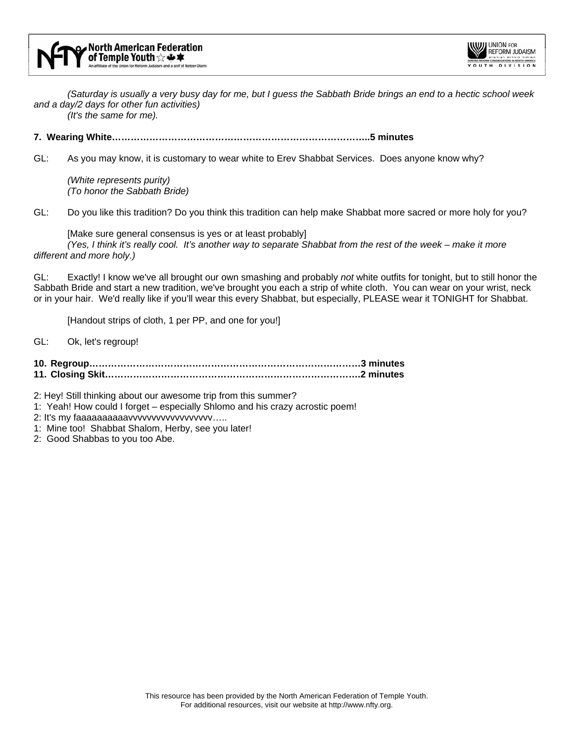

 *(Saturday is usually a very busy day for me, but I guess the Sabbath Bride brings an end to a hectic school week and a day/2 days for other fun activities)* 

 *(It's the same for me).* 

### **7. Wearing White………………………………………………………………………..5 minutes**

GL: As you may know, it is customary to wear white to Erev Shabbat Services. Does anyone know why?

 *(White represents purity) (To honor the Sabbath Bride)*

GL: Do you like this tradition? Do you think this tradition can help make Shabbat more sacred or more holy for you?

 [Make sure general consensus is yes or at least probably] *(Yes, I think it's really cool. It's another way to separate Shabbat from the rest of the week – make it more different and more holy.)*

GL: Exactly! I know we've all brought our own smashing and probably *not* white outfits for tonight, but to still honor the Sabbath Bride and start a new tradition, we've brought you each a strip of white cloth. You can wear on your wrist, neck or in your hair. We'd really like if you'll wear this every Shabbat, but especially, PLEASE wear it TONIGHT for Shabbat.

[Handout strips of cloth, 1 per PP, and one for you!]

GL: Ok, let's regroup!

**10. Regroup……………………………………………………………………………3 minutes 11. Closing Skit……………………………………………………………………….2 minutes** 

2: Hey! Still thinking about our awesome trip from this summer?

- 1: Yeah! How could I forget especially Shlomo and his crazy acrostic poem!
- 2: It's my faaaaaaaaaaavvvvvvvvvvvvvvvvvvvvv.....
- 1: Mine too! Shabbat Shalom, Herby, see you later!
- 2: Good Shabbas to you too Abe.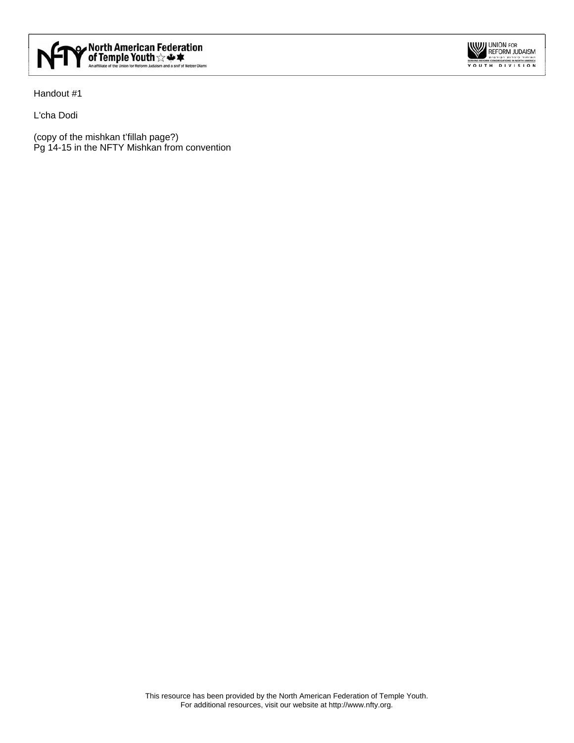

Handout #1

L'cha Dodi

(copy of the mishkan t'fillah page?) Pg 14-15 in the NFTY Mishkan from convention UNION FOR<br>
REFORM JUDAISM<br>
Y O U T H D I V I S I O N